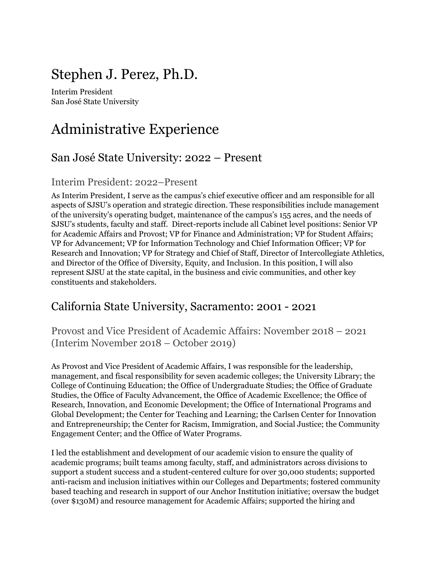## Stephen J. Perez, Ph.D.

Interim President San José State University

## Administrative Experience

### San José State University: 2022 – Present

### Interim President: 2022–Present

As Interim President, I serve as the campus's chief executive officer and am responsible for all aspects of SJSU's operation and strategic direction. These responsibilities include management of the university's operating budget, maintenance of the campus's 155 acres, and the needs of SJSU's students, faculty and staff. Direct-reports include all Cabinet level positions: Senior VP for Academic Affairs and Provost; VP for Finance and Administration; VP for Student Affairs; VP for Advancement; VP for Information Technology and Chief Information Officer; VP for Research and Innovation; VP for Strategy and Chief of Staff, Director of Intercollegiate Athletics, and Director of the Office of Diversity, Equity, and Inclusion. In this position, I will also represent SJSU at the state capital, in the business and civic communities, and other key constituents and stakeholders.

### California State University, Sacramento: 2001 - 2021

Provost and Vice President of Academic Affairs: November 2018 – 2021 (Interim November 2018 – October 2019)

As Provost and Vice President of Academic Affairs, I was responsible for the leadership, management, and fiscal responsibility for seven academic colleges; the University Library; the College of Continuing Education; the Office of Undergraduate Studies; the Office of Graduate Studies, the Office of Faculty Advancement, the Office of Academic Excellence; the Office of Research, Innovation, and Economic Development; the Office of International Programs and Global Development; the Center for Teaching and Learning; the Carlsen Center for Innovation and Entrepreneurship; the Center for Racism, Immigration, and Social Justice; the Community Engagement Center; and the Office of Water Programs.

I led the establishment and development of our academic vision to ensure the quality of academic programs; built teams among faculty, staff, and administrators across divisions to support a student success and a student-centered culture for over 30,000 students; supported anti-racism and inclusion initiatives within our Colleges and Departments; fostered community based teaching and research in support of our Anchor Institution initiative; oversaw the budget (over \$130M) and resource management for Academic Affairs; supported the hiring and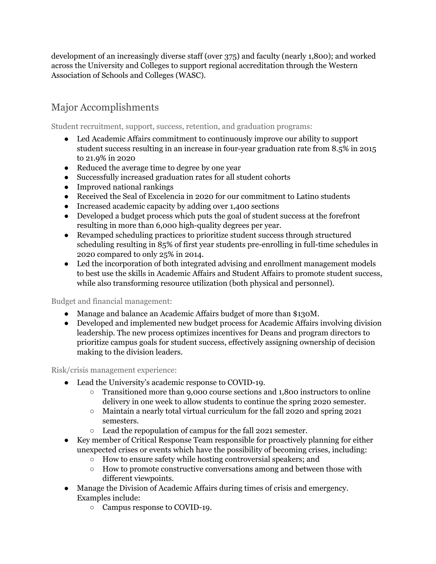development of an increasingly diverse staff (over 375) and faculty (nearly 1,800); and worked across the University and Colleges to support regional accreditation through the Western Association of Schools and Colleges (WASC).

### Major Accomplishments

Student recruitment, support, success, retention, and graduation programs:

- Led Academic Affairs commitment to continuously improve our ability to support student success resulting in an increase in four-year graduation rate from 8.5% in 2015 to 21.9% in 2020
- Reduced the average time to degree by one year
- Successfully increased graduation rates for all student cohorts
- Improved national rankings
- Received the Seal of Excelencia in 2020 for our commitment to Latino students
- Increased academic capacity by adding over 1,400 sections
- Developed a budget process which puts the goal of student success at the forefront resulting in more than 6,000 high-quality degrees per year.
- Revamped scheduling practices to prioritize student success through structured scheduling resulting in 85% of first year students pre-enrolling in full-time schedules in 2020 compared to only 25% in 2014.
- Led the incorporation of both integrated advising and enrollment management models to best use the skills in Academic Affairs and Student Affairs to promote student success, while also transforming resource utilization (both physical and personnel).

Budget and financial management:

- Manage and balance an Academic Affairs budget of more than \$130M.
- Developed and implemented new budget process for Academic Affairs involving division leadership. The new process optimizes incentives for Deans and program directors to prioritize campus goals for student success, effectively assigning ownership of decision making to the division leaders.

#### Risk/crisis management experience:

- Lead the University's academic response to COVID-19.
	- Transitioned more than 9,000 course sections and 1,800 instructors to online delivery in one week to allow students to continue the spring 2020 semester.
	- Maintain a nearly total virtual curriculum for the fall 2020 and spring 2021 semesters.
	- Lead the repopulation of campus for the fall 2021 semester.
- Key member of Critical Response Team responsible for proactively planning for either unexpected crises or events which have the possibility of becoming crises, including:
	- How to ensure safety while hosting controversial speakers; and
	- How to promote constructive conversations among and between those with different viewpoints.
- Manage the Division of Academic Affairs during times of crisis and emergency. Examples include:
	- Campus response to COVID-19.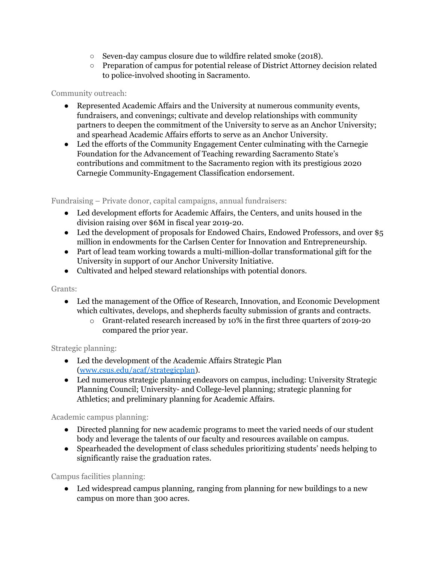- Seven-day campus closure due to wildfire related smoke (2018).
- Preparation of campus for potential release of District Attorney decision related to police-involved shooting in Sacramento.

#### Community outreach:

- Represented Academic Affairs and the University at numerous community events, fundraisers, and convenings; cultivate and develop relationships with community partners to deepen the commitment of the University to serve as an Anchor University; and spearhead Academic Affairs efforts to serve as an Anchor University.
- Led the efforts of the Community Engagement Center culminating with the Carnegie Foundation for the Advancement of Teaching rewarding Sacramento State's contributions and commitment to the Sacramento region with its prestigious 2020 Carnegie Community-Engagement Classification endorsement.

Fundraising – Private donor, capital campaigns, annual fundraisers:

- Led development efforts for Academic Affairs, the Centers, and units housed in the division raising over \$6M in fiscal year 2019-20.
- Led the development of proposals for Endowed Chairs, Endowed Professors, and over \$5 million in endowments for the Carlsen Center for Innovation and Entrepreneurship.
- Part of lead team working towards a multi-million-dollar transformational gift for the University in support of our Anchor University Initiative.
- Cultivated and helped steward relationships with potential donors.

#### Grants:

- Led the management of the Office of Research, Innovation, and Economic Development which cultivates, develops, and shepherds faculty submission of grants and contracts.
	- o Grant-related research increased by 10% in the first three quarters of 2019-20 compared the prior year.

#### Strategic planning:

- Led the development of the Academic Affairs Strategic Plan [\(www.csus.edu/acaf/strategicplan](http://www.csus.edu/acaf/strategicplan)).
- Led numerous strategic planning endeavors on campus, including: University Strategic Planning Council; University- and College-level planning; strategic planning for Athletics; and preliminary planning for Academic Affairs.

#### Academic campus planning:

- Directed planning for new academic programs to meet the varied needs of our student body and leverage the talents of our faculty and resources available on campus.
- Spearheaded the development of class schedules prioritizing students' needs helping to significantly raise the graduation rates.

#### Campus facilities planning:

• Led widespread campus planning, ranging from planning for new buildings to a new campus on more than 300 acres.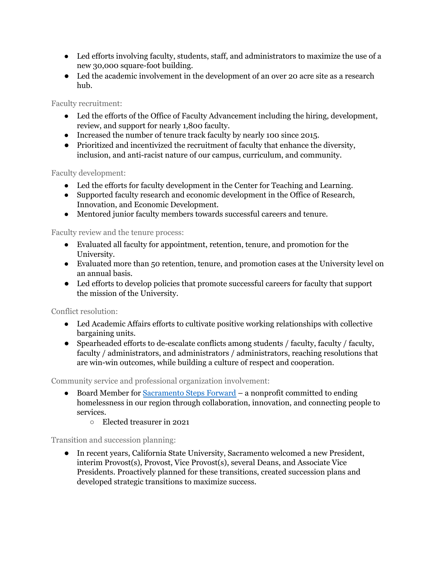- Led efforts involving faculty, students, staff, and administrators to maximize the use of a new 30,000 square-foot building.
- Led the academic involvement in the development of an over 20 acre site as a research hub.

Faculty recruitment:

- Led the efforts of the Office of Faculty Advancement including the hiring, development, review, and support for nearly 1,800 faculty.
- Increased the number of tenure track faculty by nearly 100 since 2015.
- Prioritized and incentivized the recruitment of faculty that enhance the diversity, inclusion, and anti-racist nature of our campus, curriculum, and community.

Faculty development:

- Led the efforts for faculty development in the Center for Teaching and Learning.
- Supported faculty research and economic development in the Office of Research, Innovation, and Economic Development.
- Mentored junior faculty members towards successful careers and tenure.

Faculty review and the tenure process:

- Evaluated all faculty for appointment, retention, tenure, and promotion for the University.
- Evaluated more than 50 retention, tenure, and promotion cases at the University level on an annual basis.
- Led efforts to develop policies that promote successful careers for faculty that support the mission of the University.

Conflict resolution:

- Led Academic Affairs efforts to cultivate positive working relationships with collective bargaining units.
- Spearheaded efforts to de-escalate conflicts among students / faculty, faculty / faculty, faculty / administrators, and administrators / administrators, reaching resolutions that are win-win outcomes, while building a culture of respect and cooperation.

Community service and professional organization involvement:

- Board Member for [Sacramento](https://sacramentostepsforward.org/) Steps Forward a nonprofit committed to ending homelessness in our region through collaboration, innovation, and connecting people to services.
	- Elected treasurer in 2021

Transition and succession planning:

● In recent years, California State University, Sacramento welcomed a new President, interim Provost(s), Provost, Vice Provost(s), several Deans, and Associate Vice Presidents. Proactively planned for these transitions, created succession plans and developed strategic transitions to maximize success.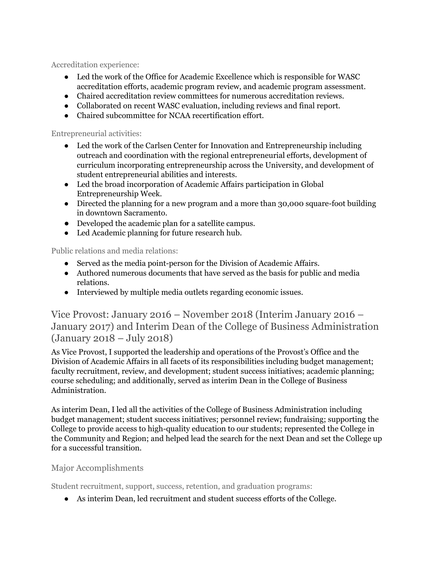Accreditation experience:

- Led the work of the Office for Academic Excellence which is responsible for WASC accreditation efforts, academic program review, and academic program assessment.
- Chaired accreditation review committees for numerous accreditation reviews.
- Collaborated on recent WASC evaluation, including reviews and final report.
- Chaired subcommittee for NCAA recertification effort.

Entrepreneurial activities:

- Led the work of the Carlsen Center for Innovation and Entrepreneurship including outreach and coordination with the regional entrepreneurial efforts, development of curriculum incorporating entrepreneurship across the University, and development of student entrepreneurial abilities and interests.
- Led the broad incorporation of Academic Affairs participation in Global Entrepreneurship Week.
- Directed the planning for a new program and a more than 30,000 square-foot building in downtown Sacramento.
- Developed the academic plan for a satellite campus.
- Led Academic planning for future research hub.

Public relations and media relations:

- Served as the media point-person for the Division of Academic Affairs.
- Authored numerous documents that have served as the basis for public and media relations.
- Interviewed by multiple media outlets regarding economic issues.

Vice Provost: January 2016 – November 2018 (Interim January 2016 – January 2017) and Interim Dean of the College of Business Administration (January 2018 – July 2018)

As Vice Provost, I supported the leadership and operations of the Provost's Office and the Division of Academic Affairs in all facets of its responsibilities including budget management; faculty recruitment, review, and development; student success initiatives; academic planning; course scheduling; and additionally, served as interim Dean in the College of Business Administration.

As interim Dean, I led all the activities of the College of Business Administration including budget management; student success initiatives; personnel review; fundraising; supporting the College to provide access to high-quality education to our students; represented the College in the Community and Region; and helped lead the search for the next Dean and set the College up for a successful transition.

#### Major Accomplishments

Student recruitment, support, success, retention, and graduation programs:

● As interim Dean, led recruitment and student success efforts of the College.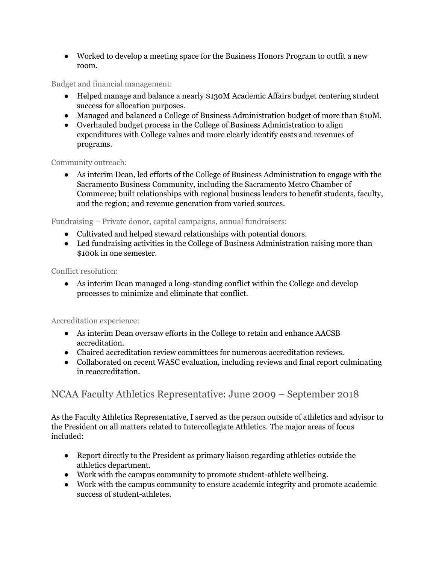● Worked to develop a meeting space for the Business Honors Program to outfit a new room.

Budget and financial management:

- Helped manage and balance a nearly \$130M Academic Affairs budget centering student success for allocation purposes.
- Managed and balanced a College of Business Administration budget of more than \$10M.
- Overhauled budget process in the College of Business Administration to align expenditures with College values and more clearly identify costs and revenues of programs.

Community outreach:

● As interim Dean, led efforts of the College of Business Administration to engage with the Sacramento Business Community, including the Sacramento Metro Chamber of Commerce; built relationships with regional business leaders to benefit students, faculty, and the region; and revenue generation from varied sources.

Fundraising – Private donor, capital campaigns, annual fundraisers:

- Cultivated and helped steward relationships with potential donors.
- Led fundraising activities in the College of Business Administration raising more than \$100k in one semester.

Conflict resolution:

● As interim Dean managed a long-standing conflict within the College and develop processes to minimize and eliminate that conflict.

Accreditation experience:

- As interim Dean oversaw efforts in the College to retain and enhance AACSB accreditation.
- Chaired accreditation review committees for numerous accreditation reviews.
- Collaborated on recent WASC evaluation, including reviews and final report culminating in reaccreditation.

#### NCAA Faculty Athletics Representative: June 2009 – September 2018

As the Faculty Athletics Representative, I served as the person outside of athletics and advisor to the President on all matters related to Intercollegiate Athletics. The major areas of focus included:

- Report directly to the President as primary liaison regarding athletics outside the athletics department.
- Work with the campus community to promote student-athlete wellbeing.
- Work with the campus community to ensure academic integrity and promote academic success of student-athletes.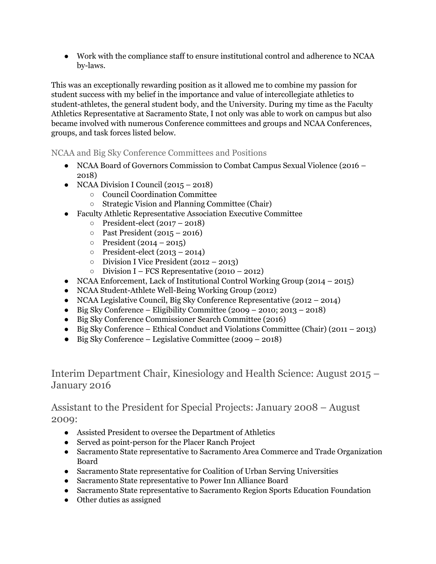● Work with the compliance staff to ensure institutional control and adherence to NCAA by-laws.

This was an exceptionally rewarding position as it allowed me to combine my passion for student success with my belief in the importance and value of intercollegiate athletics to student-athletes, the general student body, and the University. During my time as the Faculty Athletics Representative at Sacramento State, I not only was able to work on campus but also became involved with numerous Conference committees and groups and NCAA Conferences, groups, and task forces listed below.

#### NCAA and Big Sky Conference Committees and Positions

- NCAA Board of Governors Commission to Combat Campus Sexual Violence (2016 2018)
- NCAA Division I Council  $(2015 2018)$ 
	- Council Coordination Committee
	- Strategic Vision and Planning Committee (Chair)
- Faculty Athletic Representative Association Executive Committee
	- President-elect (2017 2018)
	- Past President (2015 2016)
	- $\circ$  President (2014 2015)
	- President-elect (2013 2014)
	- Division I Vice President (2012 2013)
	- $\circ$  Division I FCS Representative (2010 2012)
- NCAA Enforcement, Lack of Institutional Control Working Group (2014 2015)
- NCAA Student-Athlete Well-Being Working Group (2012)
- NCAA Legislative Council, Big Sky Conference Representative (2012 2014)
- $\bullet$  Big Sky Conference Eligibility Committee (2009 2010; 2013 2018)
- Big Sky Conference Commissioner Search Committee (2016)
- Big Sky Conference Ethical Conduct and Violations Committee (Chair) (2011 2013)
- Big Sky Conference Legislative Committee (2009 2018)

Interim Department Chair, Kinesiology and Health Science: August 2015 – January 2016

Assistant to the President for Special Projects: January 2008 – August 2009:

- Assisted President to oversee the Department of Athletics
- Served as point-person for the Placer Ranch Project
- Sacramento State representative to Sacramento Area Commerce and Trade Organization Board
- Sacramento State representative for Coalition of Urban Serving Universities
- Sacramento State representative to Power Inn Alliance Board
- Sacramento State representative to Sacramento Region Sports Education Foundation
- Other duties as assigned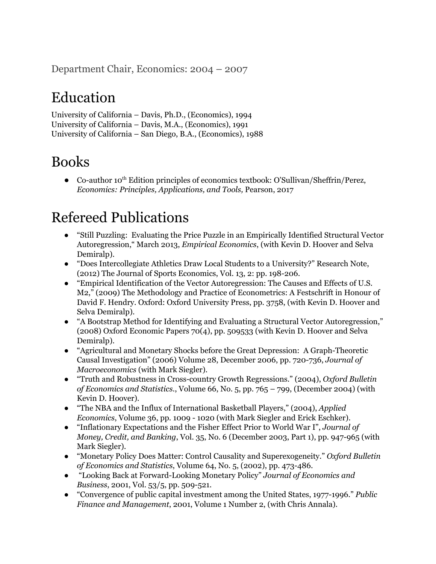Department Chair, Economics: 2004 – 2007

# Education

University of California – Davis, Ph.D., (Economics), 1994 University of California – Davis, M.A., (Economics), 1991 University of California – San Diego, B.A., (Economics), 1988

## Books

• Co-author 10<sup>th</sup> Edition principles of economics textbook: O'Sullivan/Sheffrin/Perez, *Economics: Principles, Applications, and Tools,* Pearson, 2017

## Refereed Publications

- "Still Puzzling: Evaluating the Price Puzzle in an Empirically Identified Structural Vector Autoregression," March 2013, *Empirical Economics*, (with Kevin D. Hoover and Selva Demiralp).
- "Does Intercollegiate Athletics Draw Local Students to a University?" Research Note, (2012) The Journal of Sports Economics, Vol. 13, 2: pp. 198-206.
- "Empirical Identification of the Vector Autoregression: The Causes and Effects of U.S. M2," (2009) The Methodology and Practice of Econometrics: A Festschrift in Honour of David F. Hendry. Oxford: Oxford University Press, pp. 3758, (with Kevin D. Hoover and Selva Demiralp).
- "A Bootstrap Method for Identifying and Evaluating a Structural Vector Autoregression," (2008) Oxford Economic Papers 70(4), pp. 509533 (with Kevin D. Hoover and Selva Demiralp).
- "Agricultural and Monetary Shocks before the Great Depression: A Graph-Theoretic Causal Investigation" (2006) Volume 28, December 2006, pp. 720-736, *Journal of Macroeconomics* (with Mark Siegler).
- "Truth and Robustness in Cross-country Growth Regressions." (2004), *Oxford Bulletin of Economics and Statistics*., Volume 66, No. 5, pp. 765 – 799, (December 2004) (with Kevin D. Hoover).
- "The NBA and the Influx of International Basketball Players," (2004), *Applied Economics*, Volume 36, pp. 1009 - 1020 (with Mark Siegler and Erick Eschker).
- "Inflationary Expectations and the Fisher Effect Prior to World War I", *Journal of Money, Credit, and Banking*, Vol. 35, No. 6 (December 2003, Part 1), pp. 947-965 (with Mark Siegler).
- "Monetary Policy Does Matter: Control Causality and Superexogeneity." *Oxford Bulletin of Economics and Statistics*, Volume 64, No. 5, (2002), pp. 473-486.
- "Looking Back at Forward-Looking Monetary Policy" *Journal of Economics and Business*, 2001, Vol. 53/5, pp. 509-521.
- "Convergence of public capital investment among the United States, 1977-1996." *Public Finance and Management*, 2001, Volume 1 Number 2, (with Chris Annala).